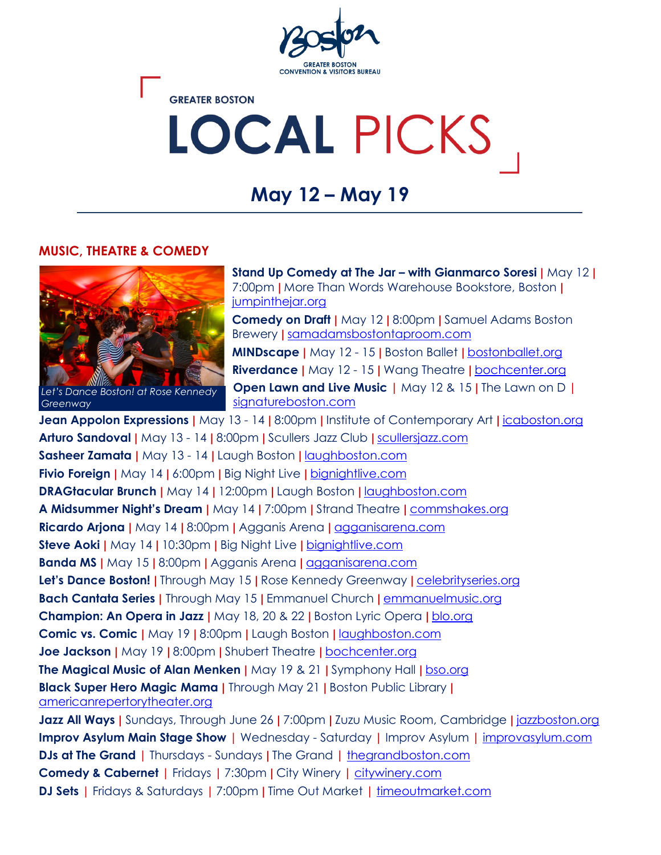

**GREATER BOSTON** 

# LOCAL PICKS

# **May 12 – May 19**

#### **MUSIC, THEATRE & COMEDY**



*Let's Dance Boston! at Rose Kennedy Greenway*

**Stand Up Comedy at The Jar – with Gianmarco Soresi |** May 12 **|**  7:00pm **|** More Than Words Warehouse Bookstore, Boston **|**  [jumpinthejar.org](https://www.jumpinthejar.org/upcoming)

**Comedy on Draft |** May 12 **|** 8:00pm **|** Samuel Adams Boston Brewery **|** [samadamsbostontaproom.com](https://www.samadamsbostontaproom.com/events)

**MINDscape |** May 12 - 15 **|** Boston Ballet **|** [bostonballet.org](https://www.bostonballet.org/Home/Tickets-Performances/Performances/MINDscape.aspx) **Riverdance |** May 12 - 15 **|** Wang Theatre **|** [bochcenter.org](https://www.bochcenter.org/events/detail/riverdance) **Open Lawn and Live Music |** May 12 & 15 **|** The Lawn on D **|** [signatureboston.com](https://www.signatureboston.com/lawn-on-d/calendar)

**Jean Appolon Expressions |** May 13 - 14 **|** 8:00pm **|** Institute of Contemporary Art **|** [icaboston.org](https://www.icaboston.org/events/global-arts-live-presents-jean-appolon-expressions?from=/calendar&title=Calendar) **Arturo Sandoval |** May 13 - 14 **|** 8:00pm **|** Scullers Jazz Club **|** [scullersjazz.com](https://scullersjazz.com/upcoming-events/) **Sasheer Zamata |** May 13 - 14 **|** Laugh Boston **|** [laughboston.com](https://calendar.laughboston.com/) **Fivio Foreign |** May 14 **|** 6:00pm **|** Big Night Live **|** [bignightlive.com](https://bignightlive.com/) **DRAGtacular Brunch |** May 14 **|** 12:00pm **|** Laugh Boston **|** [laughboston.com](https://laughboston.com/) **A Midsummer Night's Dream |** May 14 **|** 7:00pm **|** Strand Theatre **|** [commshakes.org](https://commshakes.org/production/stage2-a-midsummer-nights-dream-2022/) **Ricardo Arjona |** May 14 **|** 8:00pm **|** Agganis Arena **|** [agganisarena.com](https://www.agganisarena.com/events-tickets/calendar/?eid=258452) **Steve Aoki |** May 14 **|** 10:30pm **|** Big Night Live **|** [bignightlive.com](https://bignightlive.com/) **Banda MS |** May 15 **|** 8:00pm **|** Agganis Arena **|** [agganisarena.com](https://www.agganisarena.com/events-tickets/calendar/?eid=262588) **Let's Dance Boston! |** Through May 15 **|** Rose Kennedy Greenway **|** [celebrityseries.org](https://www.celebrityseries.org/live-performances/public-performance-projects/lets-dance-boston-2022/) **Bach Cantata Series |** Through May 15 **|** Emmanuel Church **|** [emmanuelmusic.org](https://www.emmanuelmusic.org/performances) **Champion: An Opera in Jazz |** May 18, 20 & 22 **|** Boston Lyric Opera **|** [blo.org](https://blo.org/champion/) **Comic vs. Comic |** May 19 **|** 8:00pm **|** Laugh Boston **|** [laughboston.com](https://calendar.laughboston.com/) **Joe Jackson |** May 19 **|** 8:00pm **|** Shubert Theatre **|** [bochcenter.org](https://www.bochcenter.org/events/detail/joejackson) **The Magical Music of Alan Menken |** May 19 & 21 **|** Symphony Hall **|** [bso.org](https://www.bso.org/events/magical-music-of-alan-menken) **Black Super Hero Magic Mama |** Through May 21 **|** Boston Public Library **|**  [americanrepertorytheater.org](https://americanrepertorytheater.org/shows-events/black-super-hero-magic-mama/) **Jazz All Ways |** Sundays, Through June 26 **|** 7:00pm **|** Zuzu Music Room, Cambridge **|** [jazzboston.org](https://jazzboston.org/jazz-all-ways/) **Improv Asylum Main Stage Show |** Wednesday - Saturday **|** Improv Asylum **|** [improvasylum.com](https://www.improvasylum.com/) **DJs at The Grand |** Thursdays - Sundays **|** The Grand **|** [thegrandboston.com](https://thegrandboston.com/#events) **Comedy & Cabernet |** Fridays **|** 7:30pm **|** City Winery **|** [citywinery.com](https://www.citywinery.com/Boston/Online/default.asp?BOparam::WScontent::loadArticle::permalink=boston-buy-tickets&BOparam::WScontent::loadArticle::context_id=&menu_id=BBCFC3A0-1ED6-443F-A679-6E0F8E41528B#?menu_id=D725EB84-6244-462E-BDC4-09497558CAD1) **DJ Sets |** Fridays & Saturdays **|** 7:00pm **|** Time Out Market **|** [timeoutmarket.com](https://www.timeoutmarket.com/)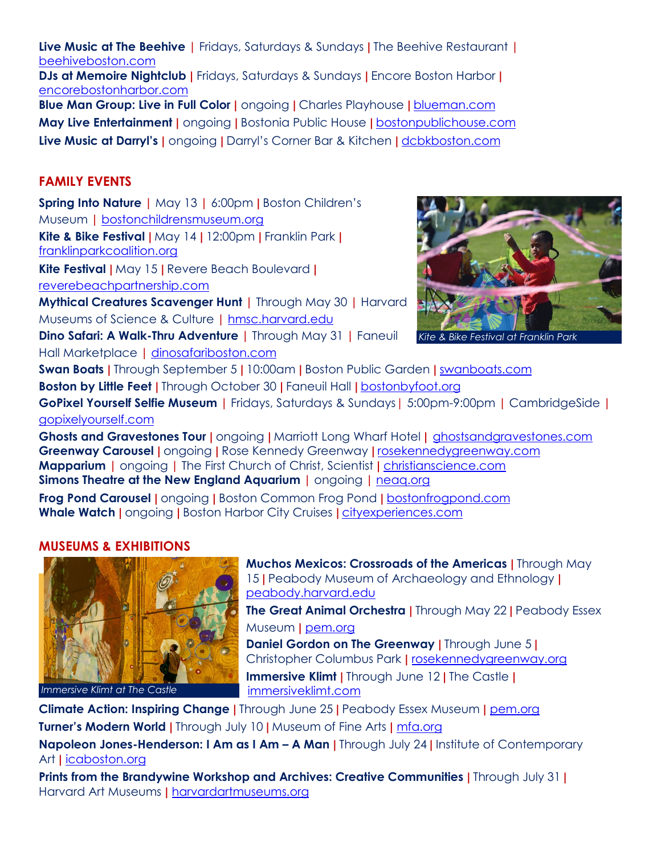**Live Music at The Beehive |** Fridays, Saturdays & Sundays **|** The Beehive Restaurant **|** [beehiveboston.com](https://www.beehiveboston.com/calendar) **DJs at Memoire Nightclub |** Fridays, Saturdays & Sundays **|** Encore Boston Harbor **|**  [encorebostonharbor.com](https://www.encorebostonharbor.com/dining-and-nightlife/bars-and-lounges/memoire) **Blue Man Group: Live in Full Color |** ongoing **|** Charles Playhouse **|** [blueman.com](https://www.blueman.com/boston/buy-tickets) **May Live Entertainment |** ongoing **|** Bostonia Public House **|** [bostonpublichouse.com](https://bostoniapublichouse.com/live-music/)

**Live Music at Darryl's |** ongoing **|** Darryl's Corner Bar & Kitchen **|** [dcbkboston.com](https://dcbkboston.com/)

### **FAMILY EVENTS**

**Spring Into Nature |** May 13 **|** 6:00pm **|** Boston Children's Museum **|** [bostonchildrensmuseum.org](https://estore.bostonchildrensmuseum.org/webstore/shop/viewItems.aspx?cg=ahe&c=ahe) **Kite & Bike Festival |** May 14 **|** 12:00pm **|** Franklin Park **|** [franklinparkcoalition.org](https://www.franklinparkcoalition.org/event/kite-bike-festival/)

**Kite Festival |** May 15 **|** Revere Beach Boulevard **|**

[reverebeachpartnership.com](https://www.reverebeachpartnership.com/events/kite-festival/)

**Mythical Creatures Scavenger Hunt |** Through May 30 **|** Harvard Museums of Science & Culture **|** [hmsc.harvard.edu](https://hmsc.harvard.edu/event/mythical-creatures-scavenger-hunt)

**Dino Safari: A Walk-Thru Adventure |** Through May 31 **|** Faneuil Hall Marketplace **|** [dinosafariboston.com](https://dinosafariboston.com/)



*Kite & Bike Festival at Franklin Park*

**Swan Boats |** Through September 5 **|** 10:00am **|** Boston Public Garden **|** [swanboats.com](https://swanboats.com/take-a-ride/) **Boston by Little Feet |** Through October 30 **|** Faneuil Hall **|** [bostonbyfoot.org](https://www.bostonbyfoot.org/)

**GoPixel Yourself Selfie Museum |** Fridays, Saturdays & Sundays| 5:00pm-9:00pm **|** CambridgeSide **|** [gopixelyourself.com](https://www.gopixelyourself.com/)

**Ghosts and Gravestones Tour |** ongoing **|** Marriott Long Wharf Hotel **|** [ghostsandgravestones.com](https://www.ghostsandgravestones.com/) **Greenway Carousel |** ongoing **|** Rose Kennedy Greenway **|** [rosekennedygreenway.com](https://www.rosekennedygreenway.org/carousel) **Mapparium |** ongoing **|** The First Church of Christ, Scientist **|** [christianscience.com](https://www.christianscience.com/find-us/visit-the-mother-church/visit-the-christian-science-plaza/how-do-you-see-the-world-experience) **Simons Theatre at the New England Aquarium |** ongoing **|** [neaq.org](https://www.neaq.org/exhibits/simons-theatre/)

**Frog Pond Carousel |** ongoing **|** Boston Common Frog Pond **|** [bostonfrogpond.com](https://bostonfrogpond.com/frog-pond-carousel/) **Whale Watch |** ongoing **|** Boston Harbor City Cruises **|** [cityexperiences.com](https://www.cityexperiences.com/boston/city-cruises/whale-watch/)

#### **MUSEUMS & EXHIBITIONS**



*Immersive Klimt at The Castle*

**Muchos Mexicos: Crossroads of the Americas |** Through May 15 **|** Peabody Museum of Archaeology and Ethnology **|** [peabody.harvard.edu](https://collections.peabody.harvard.edu/collections/252876/muchos-mexicos-crossroads-of-the-americas)

**The Great Animal Orchestra |** Through May 22 **|** Peabody Essex Museum **|** [pem.org](https://www.pem.org/exhibitions/the-great-animal-orchestra-bernie-krause-and-united-visual-artists)

**Daniel Gordon on The Greenway |** Through June 5 **|** Christopher Columbus Park **|** [rosekennedygreenway.org](https://www.rosekennedygreenway.org/danielgordon) **Immersive Klimt |** Through June 12 **|** The Castle **|** [immersiveklimt.com](https://www.immersiveklimt.com/boston/)

**Climate Action: Inspiring Change |** Through June 25 **|** Peabody Essex Museum **|** [pem.org](https://www.pem.org/exhibitions/climate-action-inspiring-change) **Turner's Modern World |** Through July 10 **|** Museum of Fine Arts **|** [mfa.org](https://www.mfa.org/exhibition/turners-modern-world)

**Napoleon Jones-Henderson: I Am as I Am – A Man |** Through July 24 **|** Institute of Contemporary Art **|** [icaboston.org](https://www.icaboston.org/exhibitions/napoleon-jones-henderson-i-am-i-am-%E2%80%93-man)

**Prints from the Brandywine Workshop and Archives: Creative Communities |** Through July 31 **|** Harvard Art Museums **|** [harvardartmuseums.org](https://harvardartmuseums.org/exhibitions/6182/prints-from-the-brandywine-workshop-and-archives-creative-communities)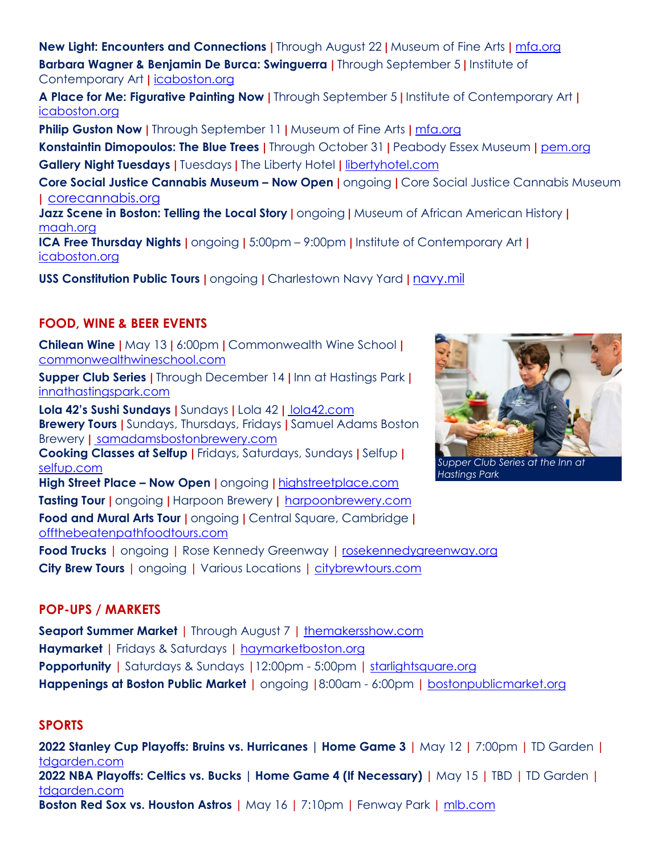**New Light: Encounters and Connections |** Through August 22 **|** Museum of Fine Arts **|** [mfa.org](https://www.mfa.org/exhibition/new-light-encounters-and-connections) **Barbara Wagner & Benjamin De Burca: Swinguerra |** Through September 5 **|** Institute of Contemporary Art **|** [icaboston.org](https://www.icaboston.org/exhibitions/b%C3%A1rbara-wagner-benjamin-de-burca-swinguerra)

**A Place for Me: Figurative Painting Now |** Through September 5 **|** Institute of Contemporary Art **|** [icaboston.org](https://www.icaboston.org/exhibitions/place-me-figurative-painting-now)

**Philip Guston Now |** Through September 11 | Museum of Fine Arts | [mfa.org](https://www.mfa.org/exhibition/philip-guston-now)

**Konstaintin Dimopoulos: The Blue Trees |** Through October 31 **|** Peabody Essex Museum **|** [pem.org](https://www.pem.org/exhibitions/konstantin-dimopoulos-the-blue-trees) **Gallery Night Tuesdays |** Tuesdays **|** The Liberty Hotel **|** [libertyhotel.com](https://libertyhotel.com/liberty-affairs/gallery-night-tuesdays/)

**Core Social Justice Cannabis Museum – Now Open |** ongoing **|** Core Social Justice Cannabis Museum **|** [corecannabis.org](https://corecannabis.org/)

**Jazz Scene in Boston: Telling the Local Story |** ongoing **|** Museum of African American History **|** [maah.org](https://www.maah.org/exhibits_detail/Jazz-in-Boston-The-Local-Scene)

**ICA Free Thursday Nights |** ongoing **|** 5:00pm – 9:00pm **|** Institute of Contemporary Art **|**  [icaboston.org](https://my.icaboston.org/events)

**USS Constitution Public Tours |** ongoing **|** Charlestown Navy Yard **|** [navy.mil](https://www.navy.mil/USS-CONSTITUTION/Hours-Visitor-Info/)

## **FOOD, WINE & BEER EVENTS**

**Chilean Wine |** May 13 **|** 6:00pm **|** Commonwealth Wine School **|** [commonwealthwineschool.com](https://www.commonwealthwineschool.com/shop/p/chile-may-13)

**Supper Club Series |** Through December 14 **|** Inn at Hastings Park **|** [innathastingspark.com](https://www.innathastingspark.com/experiences/culinary-education/)

**Lola 42's Sushi Sundays |** Sundays **|** Lola 42 **|** [lola42.com](https://www.lola42.com/) **Brewery Tours |** Sundays, Thursdays, Fridays **|** Samuel Adams Boston Brewery **|** [samadamsbostonbrewery.com](https://samadamsbostonbrewery.com/experiences) **Cooking Classes at Selfup |** Fridays, Saturdays, Sundays **|** Selfup **|** [selfup.com](https://selfup.com/) **High Street Place – Now Open |** ongoing **|** [highstreetplace.com](https://www.highstreetplace.com/) **Tasting Tour |** ongoing **|** Harpoon Brewery **|** [harpoonbrewery.com](https://www.harpoonbrewery.com/boston-brewery/) **Food and Mural Arts Tour |** ongoing **|** Central Square, Cambridge **|** [offthebeatenpathfoodtours.com](https://offthebeatenpathfoodtours.com/tour/central-square-cambridge-food-and-mural-arts-tour/)

**Food Trucks |** ongoing **|** Rose Kennedy Greenway **|** [rosekennedygreenway.org](https://www.rosekennedygreenway.org/food) **City Brew Tours |** ongoing **|** Various Locations **|** [citybrewtours.com](https://www.citybrewtours.com/boston/tours/)



*Supper Club Series at the Inn at Hastings Park*

#### **POP-UPS / MARKETS**

**Seaport Summer Market |** Through August 7 **|** [themakersshow.com](https://www.themakersshow.com/the-seaport-summer-market) **Haymarket |** Fridays & Saturdays **|** [haymarketboston.org](http://www.haymarketboston.org/) **Popportunity |** Saturdays & Sundays **|**12:00pm - 5:00pm **|** [starlightsquare.org](https://www.starlightsquare.org/popportunity) **Happenings at Boston Public Market |** ongoing **|**8:00am - 6:00pm **|** [bostonpublicmarket.org](https://bostonpublicmarket.org/happenings/)

#### **SPORTS**

**2022 Stanley Cup Playoffs: Bruins vs. Hurricanes | Home Game 3 |** May 12 **|** 7:00pm **|** TD Garden **|** [tdgarden.com](https://www.tdgarden.com/events/detail/bruins-playoffs-2022-round-one-game-three) **2022 NBA Playoffs: Celtics vs. Bucks | Home Game 4 (If Necessary) |** May 15 **|** TBD **|** TD Garden **|** [tdgarden.com](https://www.tdgarden.com/events/detail/celtics-bucks-playoffs-22-4) **Boston Red Sox vs. Houston Astros |** May 16 **|** 7:10pm **|** Fenway Park **|** [mlb.com](https://www.mlb.com/redsox/schedule/2022-05)